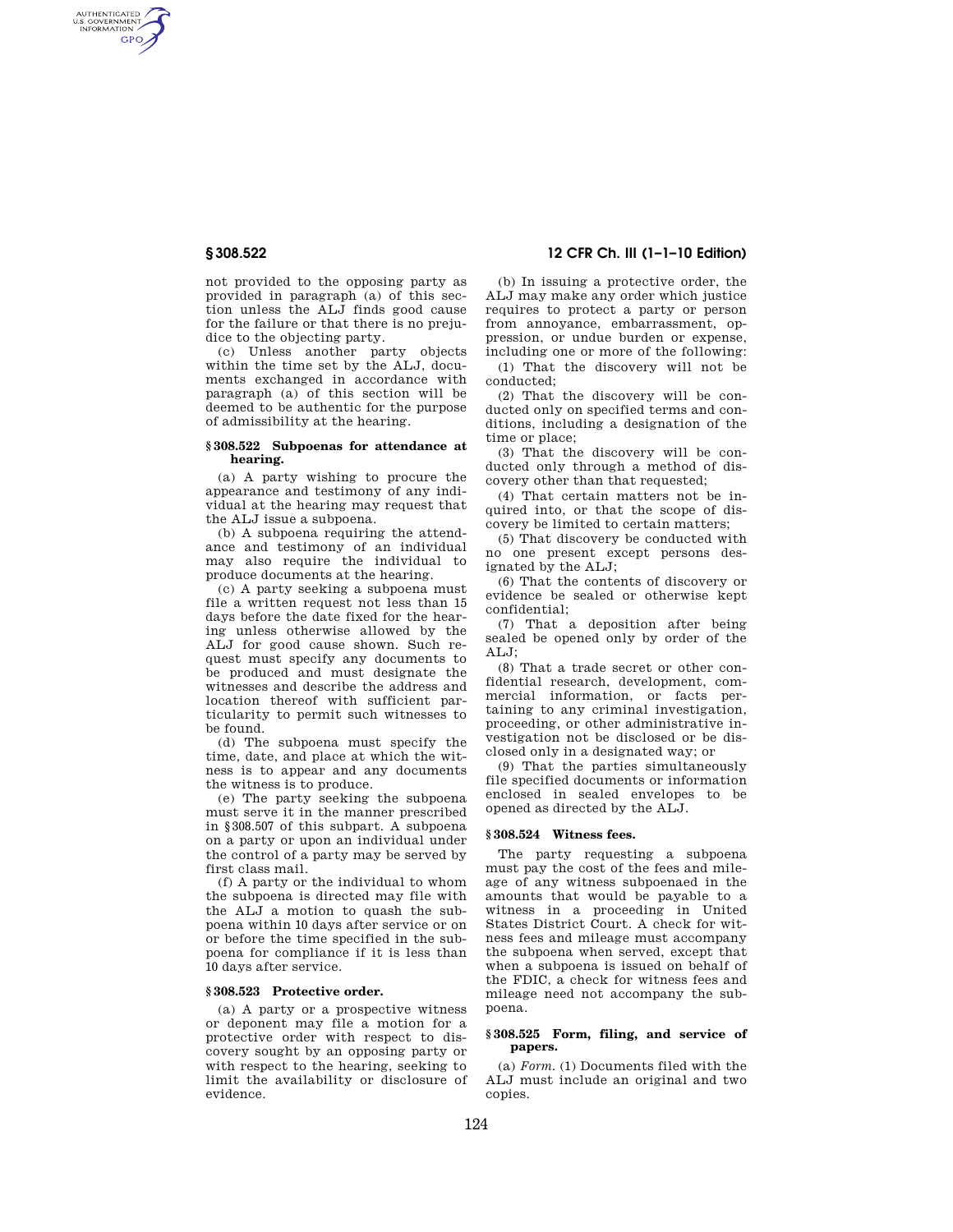AUTHENTICATED<br>U.S. GOVERNMENT<br>INFORMATION **GPO** 

> not provided to the opposing party as provided in paragraph (a) of this section unless the ALJ finds good cause for the failure or that there is no prejudice to the objecting party.

> (c) Unless another party objects within the time set by the ALJ, documents exchanged in accordance with paragraph (a) of this section will be deemed to be authentic for the purpose of admissibility at the hearing.

#### **§ 308.522 Subpoenas for attendance at hearing.**

(a) A party wishing to procure the appearance and testimony of any individual at the hearing may request that the ALJ issue a subpoena.

(b) A subpoena requiring the attendance and testimony of an individual may also require the individual to produce documents at the hearing.

(c) A party seeking a subpoena must file a written request not less than 15 days before the date fixed for the hearing unless otherwise allowed by the ALJ for good cause shown. Such request must specify any documents to be produced and must designate the witnesses and describe the address and location thereof with sufficient particularity to permit such witnesses to be found.

(d) The subpoena must specify the time, date, and place at which the witness is to appear and any documents the witness is to produce.

(e) The party seeking the subpoena must serve it in the manner prescribed in §308.507 of this subpart. A subpoena on a party or upon an individual under the control of a party may be served by first class mail.

(f) A party or the individual to whom the subpoena is directed may file with the ALJ a motion to quash the subpoena within 10 days after service or on or before the time specified in the subpoena for compliance if it is less than 10 days after service.

# **§ 308.523 Protective order.**

(a) A party or a prospective witness or deponent may file a motion for a protective order with respect to discovery sought by an opposing party or with respect to the hearing, seeking to limit the availability or disclosure of evidence.

# **§ 308.522 12 CFR Ch. III (1–1–10 Edition)**

(b) In issuing a protective order, the ALJ may make any order which justice requires to protect a party or person from annoyance, embarrassment, oppression, or undue burden or expense, including one or more of the following:

(1) That the discovery will not be conducted;

(2) That the discovery will be conducted only on specified terms and conditions, including a designation of the time or place;

(3) That the discovery will be conducted only through a method of discovery other than that requested;

(4) That certain matters not be inquired into, or that the scope of discovery be limited to certain matters;

(5) That discovery be conducted with no one present except persons designated by the ALJ;

(6) That the contents of discovery or evidence be sealed or otherwise kept confidential;

(7) That a deposition after being sealed be opened only by order of the ALJ;

(8) That a trade secret or other confidential research, development, commercial information, or facts pertaining to any criminal investigation, proceeding, or other administrative investigation not be disclosed or be disclosed only in a designated way; or

(9) That the parties simultaneously file specified documents or information enclosed in sealed envelopes to be opened as directed by the ALJ.

#### **§ 308.524 Witness fees.**

The party requesting a subpoena must pay the cost of the fees and mileage of any witness subpoenaed in the amounts that would be payable to a witness in a proceeding in United States District Court. A check for witness fees and mileage must accompany the subpoena when served, except that when a subpoena is issued on behalf of the FDIC, a check for witness fees and mileage need not accompany the subpoena.

#### **§ 308.525 Form, filing, and service of papers.**

(a) *Form.* (1) Documents filed with the ALJ must include an original and two copies.